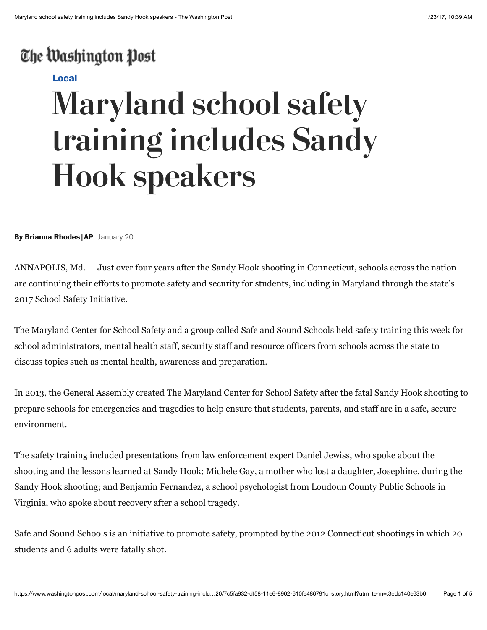## The Washington Post

#### **[Local](https://www.washingtonpost.com/local)**

# **Maryland school safety training includes Sandy Hook speakers**

**By Brianna Rhodes |AP** January 20

ANNAPOLIS, Md. — Just over four years after the Sandy Hook shooting in Connecticut, schools across the nation are continuing their efforts to promote safety and security for students, including in Maryland through the state's 2017 School Safety Initiative.

The Maryland Center for School Safety and a group called Safe and Sound Schools held safety training this week for school administrators, mental health staff, security staff and resource officers from schools across the state to discuss topics such as mental health, awareness and preparation.

In 2013, the General Assembly created The Maryland Center for School Safety after the fatal Sandy Hook shooting to prepare schools for emergencies and tragedies to help ensure that students, parents, and staff are in a safe, secure environment.

The safety training included presentations from law enforcement expert Daniel Jewiss, who spoke about the shooting and the lessons learned at Sandy Hook; Michele Gay, a mother who lost a daughter, Josephine, during the Sandy Hook shooting; and Benjamin Fernandez, a school psychologist from Loudoun County Public Schools in Virginia, who spoke about recovery after a school tragedy.

Safe and Sound Schools is an initiative to promote safety, prompted by the 2012 Connecticut shootings in which 20 students and 6 adults were fatally shot.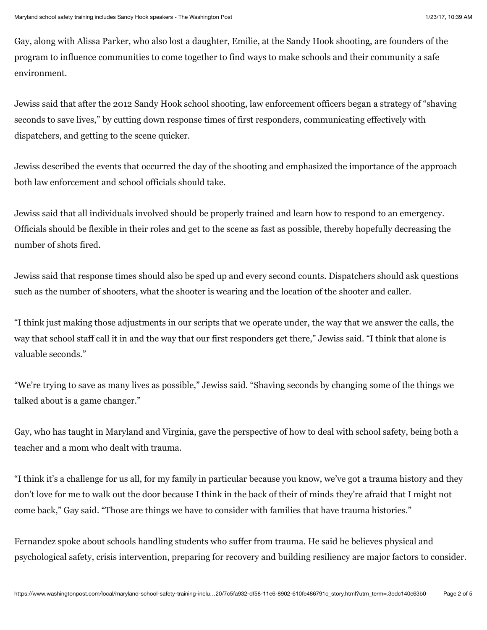Gay, along with Alissa Parker, who also lost a daughter, Emilie, at the Sandy Hook shooting, are founders of the program to influence communities to come together to find ways to make schools and their community a safe environment.

Jewiss said that after the 2012 Sandy Hook school shooting, law enforcement officers began a strategy of "shaving seconds to save lives," by cutting down response times of first responders, communicating effectively with dispatchers, and getting to the scene quicker.

Jewiss described the events that occurred the day of the shooting and emphasized the importance of the approach both law enforcement and school officials should take.

Jewiss said that all individuals involved should be properly trained and learn how to respond to an emergency. Officials should be flexible in their roles and get to the scene as fast as possible, thereby hopefully decreasing the number of shots fired.

Jewiss said that response times should also be sped up and every second counts. Dispatchers should ask questions such as the number of shooters, what the shooter is wearing and the location of the shooter and caller.

"I think just making those adjustments in our scripts that we operate under, the way that we answer the calls, the way that school staff call it in and the way that our first responders get there," Jewiss said. "I think that alone is valuable seconds."

"We're trying to save as many lives as possible," Jewiss said. "Shaving seconds by changing some of the things we talked about is a game changer."

Gay, who has taught in Maryland and Virginia, gave the perspective of how to deal with school safety, being both a teacher and a mom who dealt with trauma.

"I think it's a challenge for us all, for my family in particular because you know, we've got a trauma history and they don't love for me to walk out the door because I think in the back of their of minds they're afraid that I might not come back," Gay said. "Those are things we have to consider with families that have trauma histories."

Fernandez spoke about schools handling students who suffer from trauma. He said he believes physical and psychological safety, crisis intervention, preparing for recovery and building resiliency are major factors to consider.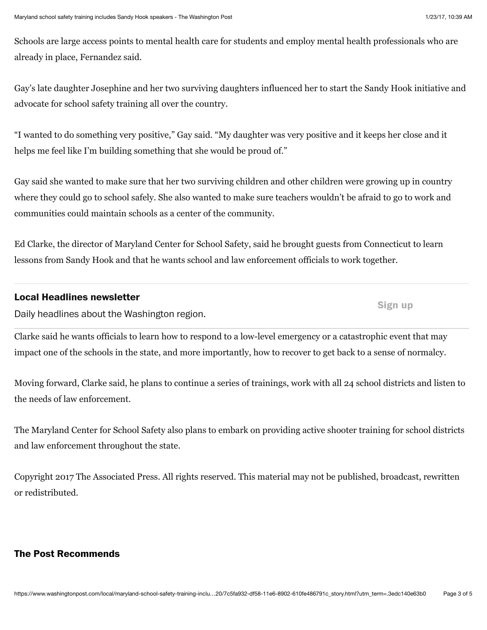**Sign up**

Schools are large access points to mental health care for students and employ mental health professionals who are already in place, Fernandez said.

Gay's late daughter Josephine and her two surviving daughters influenced her to start the Sandy Hook initiative and advocate for school safety training all over the country.

"I wanted to do something very positive," Gay said. "My daughter was very positive and it keeps her close and it helps me feel like I'm building something that she would be proud of."

Gay said she wanted to make sure that her two surviving children and other children were growing up in country where they could go to school safely. She also wanted to make sure teachers wouldn't be afraid to go to work and communities could maintain schools as a center of the community.

Ed Clarke, the director of Maryland Center for School Safety, said he brought guests from Connecticut to learn lessons from Sandy Hook and that he wants school and law enforcement officials to work together.

#### **Local Headlines newsletter**

Daily headlines about the Washington region.

Clarke said he wants officials to learn how to respond to a low-level emergency or a catastrophic event that may impact one of the schools in the state, and more importantly, how to recover to get back to a sense of normalcy.

Moving forward, Clarke said, he plans to continue a series of trainings, work with all 24 school districts and listen to the needs of law enforcement.

The Maryland Center for School Safety also plans to embark on providing active shooter training for school districts and law enforcement throughout the state.

Copyright 2017 The Associated Press. All rights reserved. This material may not be published, broadcast, rewritten or redistributed.

#### **The Post Recommends**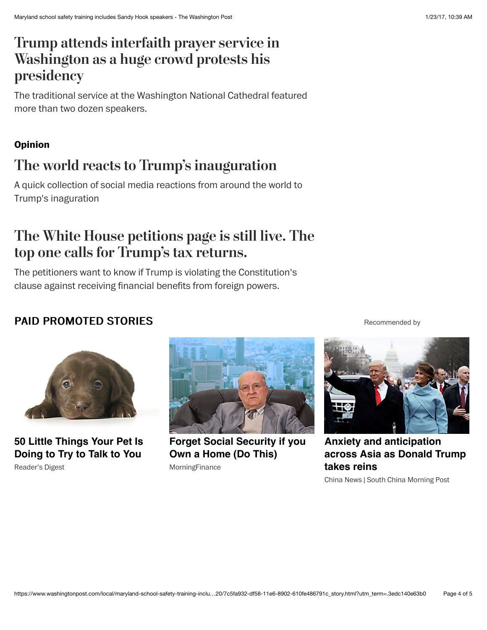## **[Trump attends interfaith prayer service in](https://www.washingtonpost.com/news/post-politics/wp/2017/01/21/trump-attends-interfaith-prayer-service-in-washington-as-a-massive-crowd-protests-his-presidency/?tid=hybrid_experimentrandom_1_na) Washington as a huge crowd protests his presidency**

The traditional service at the Washington National Cathedral featured more than two dozen speakers.

### **Opinion**

## **[The world reacts to Trump's inauguration](https://www.washingtonpost.com/news/global-opinions/wp/2017/01/21/the-world-reacts-to-trumps-inauguration/?tid=hybrid_experimentrandom_2_na)**

A quick collection of social media reactions from around the world to Trump's inaguration

## **[The White House petitions page is still live. The](https://www.washingtonpost.com/news/the-fix/wp/2017/01/21/the-white-house-petitions-page-is-still-live-the-top-one-calls-for-trumps-tax-returns/?tid=hybrid_experimentrandom_3_na) top one calls for Trump's tax returns.**

The petitioners want to know if Trump is violating the Constitution's clause against receiving financial benefits from foreign powers.

## PAID PROMOTED STORIES



**[50 Little Things Your Pet Is](http://www.rd.com/advice/pets/pet-secrets/1/?trkid=ppc-outbrain-et-dt) Doing to Try to Talk to You** Reader's Digest



**[Forget Social Security if you](http://click.morningfinance.com/dc9556d5-5f05-4a03-a326-fe4bdbfbe4c0?PUBID=0032594b28fb45a9665780cda86025dc93&PG_NAME=Forget+Social+Security+if+you+Own+a+Home+%28Do+Thi&AD_ID=00d280a6ef2e9ddfd78066c853e72cdb44&) Own a Home (Do This)** MorningFinance

[Recommended by](https://www.outbrain.com/what-is/default/en)

**Anxiety and anticipation [across Asia as Donald Trump](http://www.scmp.com/news/china/diplomacy-defence/article/2063955/anxiety-and-anticipation-across-asia-donald-trump-takes?utm_source=outbrain&utm_medium=cchina&utm_campaign=GME-I-US_Inaug&cx_source=outbrain&cx_medium=cchina&cx_campaign=GME-I&utm_content=usg0) takes reins**

China News | South China Morning Post